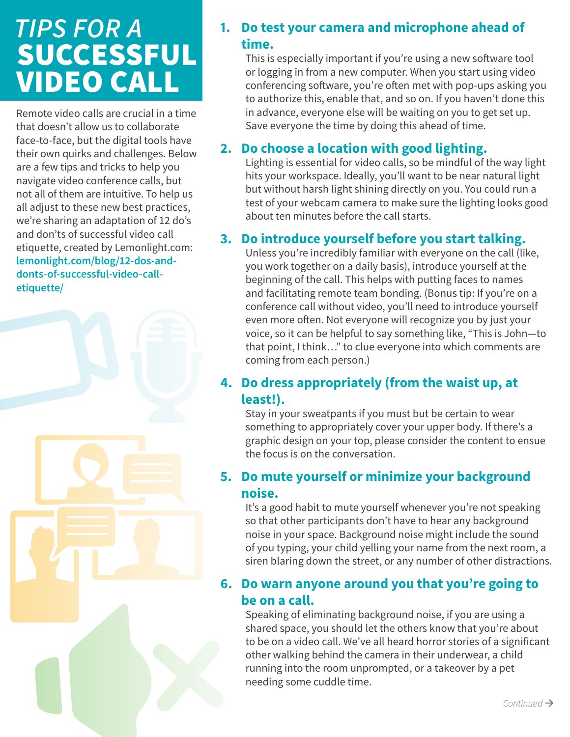# *TIPS FOR A*  SUCCESSFUL VIDEO CALL

Remote video calls are crucial in a time that doesn't allow us to collaborate face-to-face, but the digital tools have their own quirks and challenges. Below are a few tips and tricks to help you navigate video conference calls, but not all of them are intuitive. To help us all adjust to these new best practices, we're sharing an adaptation of 12 do's and don'ts of successful video call etiquette, created by Lemonlight.com: **lemonlight.com/blog/12-dos-anddonts-of-successful-video-calletiquette/**

# **1. Do test your camera and microphone ahead of time.**

This is especially important if you're using a new software tool or logging in from a new computer. When you start using video conferencing software, you're often met with pop-ups asking you to authorize this, enable that, and so on. If you haven't done this in advance, everyone else will be waiting on you to get set up. Save everyone the time by doing this ahead of time.

## **2. Do choose a location with good lighting.**

Lighting is essential for video calls, so be mindful of the way light hits your workspace. Ideally, you'll want to be near natural light but without harsh light shining directly on you. You could run a test of your webcam camera to make sure the lighting looks good about ten minutes before the call starts.

## **3. Do introduce yourself before you start talking.**

Unless you're incredibly familiar with everyone on the call (like, you work together on a daily basis), introduce yourself at the beginning of the call. This helps with putting faces to names and facilitating remote team bonding. (Bonus tip: If you're on a conference call without video, you'll need to introduce yourself even more often. Not everyone will recognize you by just your voice, so it can be helpful to say something like, "This is John—to that point, I think…" to clue everyone into which comments are coming from each person.)

## **4. Do dress appropriately (from the waist up, at least!).**

Stay in your sweatpants if you must but be certain to wear something to appropriately cover your upper body. If there's a graphic design on your top, please consider the content to ensue the focus is on the conversation.

# **5. Do mute yourself or minimize your background noise.**

It's a good habit to mute yourself whenever you're not speaking so that other participants don't have to hear any background noise in your space. Background noise might include the sound of you typing, your child yelling your name from the next room, a siren blaring down the street, or any number of other distractions.

## **6. Do warn anyone around you that you're going to be on a call.**

Speaking of eliminating background noise, if you are using a shared space, you should let the others know that you're about to be on a video call. We've all heard horror stories of a significant other walking behind the camera in their underwear, a child running into the room unprompted, or a takeover by a pet needing some cuddle time.